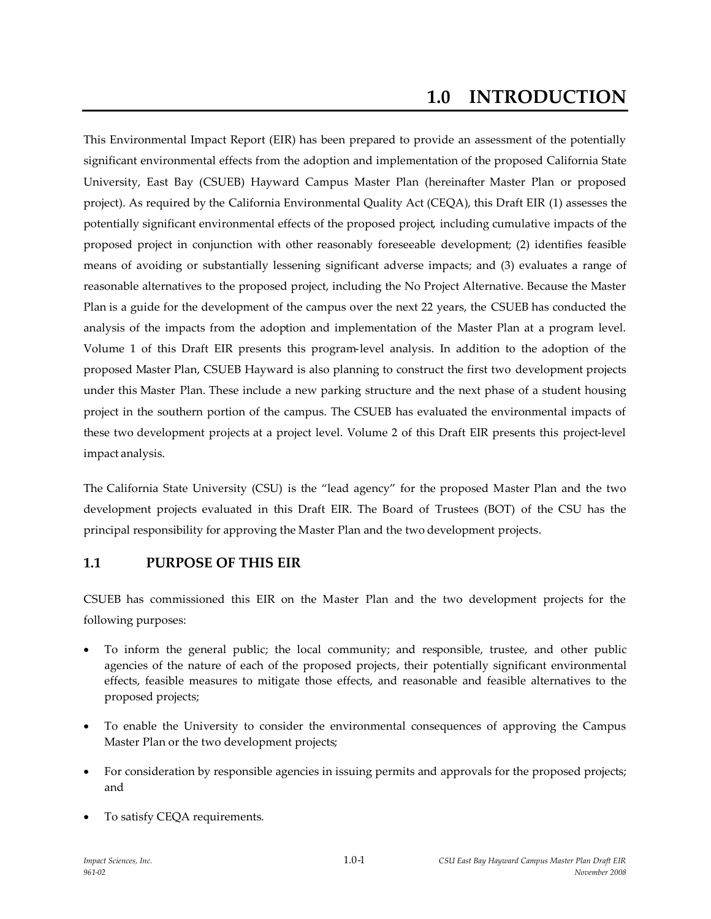# **1.0 INTRODUCTION**

This Environmental Impact Report (EIR) has been prepared to provide an assessment of the potentially significant environmental effects from the adoption and implementation of the proposed California State University, East Bay (CSUEB) Hayward Campus Master Plan (hereinafter Master Plan or proposed project). As required by the California Environmental Quality Act (CEQA), this Draft EIR (1) assesses the potentially significant environmental effects of the proposed project, including cumulative impacts of the proposed project in conjunction with other reasonably foreseeable development; (2) identifies feasible means of avoiding or substantially lessening significant adverse impacts; and (3) evaluates a range of reasonable alternatives to the proposed project, including the No Project Alternative. Because the Master Plan is a guide for the development of the campus over the next 22 years, the CSUEB has conducted the analysis of the impacts from the adoption and implementation of the Master Plan at a program level. Volume 1 of this Draft EIR presents this program-level analysis. In addition to the adoption of the proposed Master Plan, CSUEB Hayward is also planning to construct the first two development projects under this Master Plan. These include a new parking structure and the next phase of a student housing project in the southern portion of the campus. The CSUEB has evaluated the environmental impacts of these two development projects at a project level. Volume 2 of this Draft EIR presents this project-level impact analysis.

The California State University (CSU) is the "lead agency" for the proposed Master Plan and the two development projects evaluated in this Draft EIR. The Board of Trustees (BOT) of the CSU has the principal responsibility for approving the Master Plan and the two development projects.

## **1.1 PURPOSE OF THIS EIR**

CSUEB has commissioned this EIR on the Master Plan and the two development projects for the following purposes:

- To inform the general public; the local community; and responsible, trustee, and other public agencies of the nature of each of the proposed projects, their potentially significant environmental effects, feasible measures to mitigate those effects, and reasonable and feasible alternatives to the proposed projects;
- To enable the University to consider the environmental consequences of approving the Campus Master Plan or the two development projects;
- For consideration by responsible agencies in issuing permits and approvals for the proposed projects; and
- To satisfy CEQA requirements.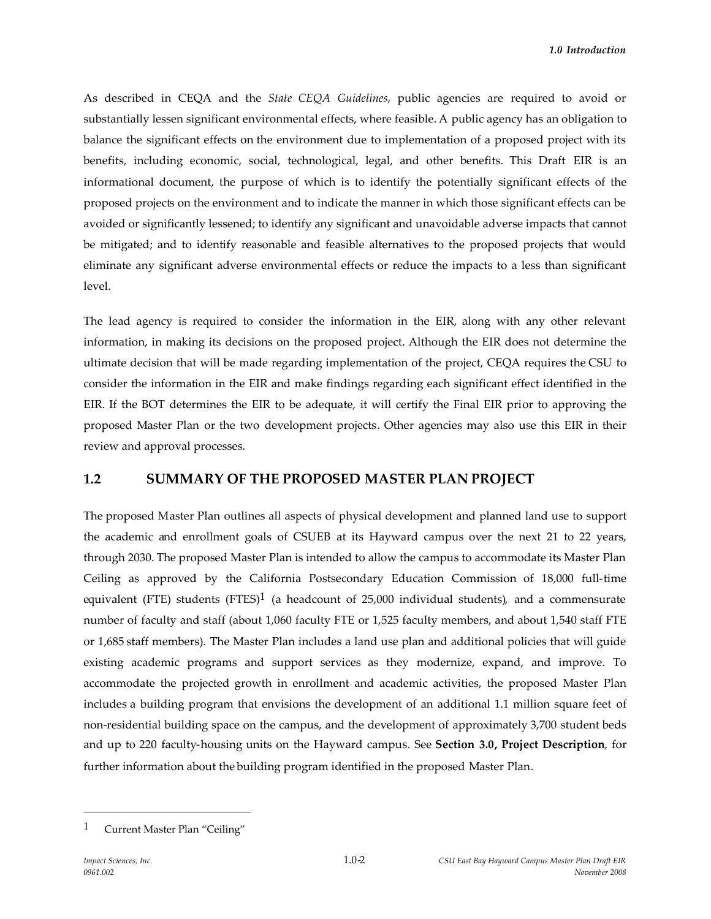As described in CEQA and the *State CEQA Guidelines*, public agencies are required to avoid or substantially lessen significant environmental effects, where feasible. A public agency has an obligation to balance the significant effects on the environment due to implementation of a proposed project with its benefits, including economic, social, technological, legal, and other benefits. This Draft EIR is an informational document, the purpose of which is to identify the potentially significant effects of the proposed projects on the environment and to indicate the manner in which those significant effects can be avoided or significantly lessened; to identify any significant and unavoidable adverse impacts that cannot be mitigated; and to identify reasonable and feasible alternatives to the proposed projects that would eliminate any significant adverse environmental effects or reduce the impacts to a less than significant level.

The lead agency is required to consider the information in the EIR, along with any other relevant information, in making its decisions on the proposed project. Although the EIR does not determine the ultimate decision that will be made regarding implementation of the project, CEQA requires the CSU to consider the information in the EIR and make findings regarding each significant effect identified in the EIR. If the BOT determines the EIR to be adequate, it will certify the Final EIR prior to approving the proposed Master Plan or the two development projects. Other agencies may also use this EIR in their review and approval processes.

## **1.2 SUMMARY OF THE PROPOSED MASTER PLAN PROJECT**

The proposed Master Plan outlines all aspects of physical development and planned land use to support the academic and enrollment goals of CSUEB at its Hayward campus over the next 21 to 22 years, through 2030. The proposed Master Plan is intended to allow the campus to accommodate its Master Plan Ceiling as approved by the California Postsecondary Education Commission of 18,000 full-time equivalent (FTE) students (FTES)<sup>1</sup> (a headcount of  $25,000$  individual students), and a commensurate number of faculty and staff (about 1,060 faculty FTE or 1,525 faculty members, and about 1,540 staff FTE or 1,685 staff members). The Master Plan includes a land use plan and additional policies that will guide existing academic programs and support services as they modernize, expand, and improve. To accommodate the projected growth in enrollment and academic activities, the proposed Master Plan includes a building program that envisions the development of an additional 1.1 million square feet of non-residential building space on the campus, and the development of approximately 3,700 student beds and up to 220 faculty-housing units on the Hayward campus. See **Section 3.0, Project Description**, for further information about the building program identified in the proposed Master Plan.

<sup>1</sup> Current Master Plan "Ceiling"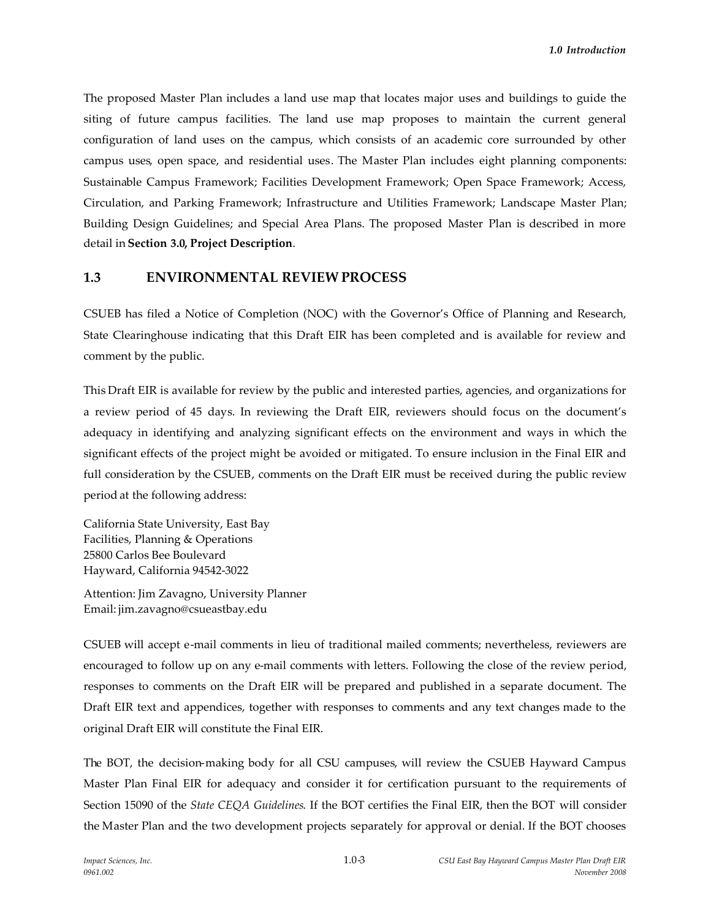The proposed Master Plan includes a land use map that locates major uses and buildings to guide the siting of future campus facilities. The land use map proposes to maintain the current general configuration of land uses on the campus, which consists of an academic core surrounded by other campus uses, open space, and residential uses. The Master Plan includes eight planning components: Sustainable Campus Framework; Facilities Development Framework; Open Space Framework; Access, Circulation, and Parking Framework; Infrastructure and Utilities Framework; Landscape Master Plan; Building Design Guidelines; and Special Area Plans. The proposed Master Plan is described in more detail in **Section 3.0, Project Description**.

#### **1.3 ENVIRONMENTAL REVIEW PROCESS**

CSUEB has filed a Notice of Completion (NOC) with the Governor's Office of Planning and Research, State Clearinghouse indicating that this Draft EIR has been completed and is available for review and comment by the public.

This Draft EIR is available for review by the public and interested parties, agencies, and organizations for a review period of 45 days. In reviewing the Draft EIR, reviewers should focus on the document's adequacy in identifying and analyzing significant effects on the environment and ways in which the significant effects of the project might be avoided or mitigated. To ensure inclusion in the Final EIR and full consideration by the CSUEB, comments on the Draft EIR must be received during the public review period at the following address:

California State University, East Bay Facilities, Planning & Operations 25800 Carlos Bee Boulevard Hayward, California 94542-3022

Attention: Jim Zavagno, University Planner Email: jim.zavagno@csueastbay.edu

CSUEB will accept e-mail comments in lieu of traditional mailed comments; nevertheless, reviewers are encouraged to follow up on any e-mail comments with letters. Following the close of the review period, responses to comments on the Draft EIR will be prepared and published in a separate document. The Draft EIR text and appendices, together with responses to comments and any text changes made to the original Draft EIR will constitute the Final EIR.

The BOT, the decision-making body for all CSU campuses, will review the CSUEB Hayward Campus Master Plan Final EIR for adequacy and consider it for certification pursuant to the requirements of Section 15090 of the *State CEQA Guidelines*. If the BOT certifies the Final EIR, then the BOT will consider the Master Plan and the two development projects separately for approval or denial. If the BOT chooses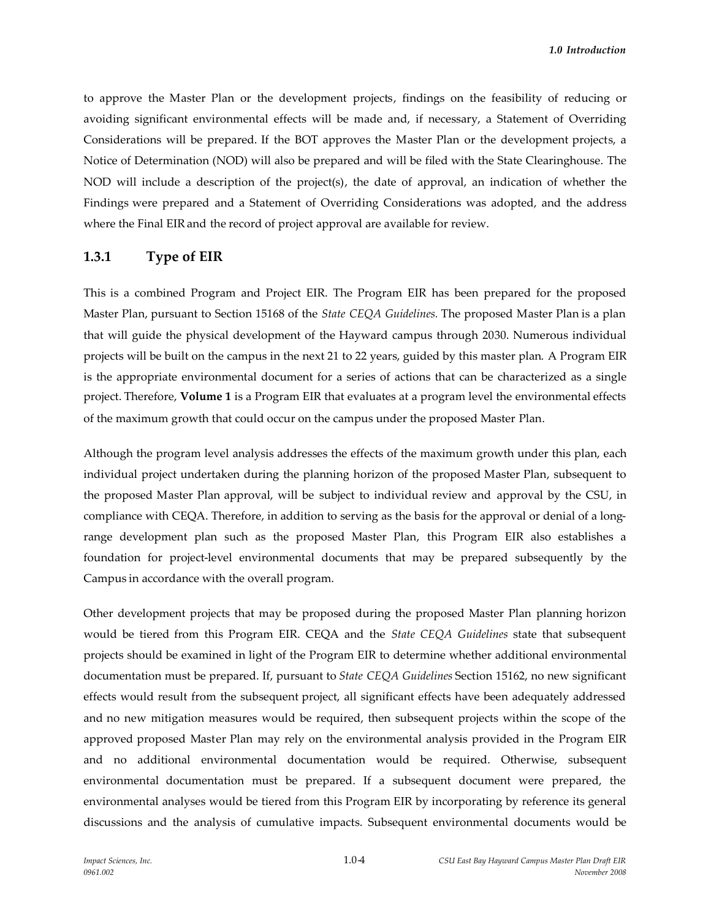to approve the Master Plan or the development projects, findings on the feasibility of reducing or avoiding significant environmental effects will be made and, if necessary, a Statement of Overriding Considerations will be prepared. If the BOT approves the Master Plan or the development projects, a Notice of Determination (NOD) will also be prepared and will be filed with the State Clearinghouse. The NOD will include a description of the project(s), the date of approval, an indication of whether the Findings were prepared and a Statement of Overriding Considerations was adopted, and the address where the Final EIR and the record of project approval are available for review.

#### **1.3.1 Type of EIR**

This is a combined Program and Project EIR. The Program EIR has been prepared for the proposed Master Plan, pursuant to Section 15168 of the *State CEQA Guidelines.* The proposed Master Plan is a plan that will guide the physical development of the Hayward campus through 2030. Numerous individual projects will be built on the campus in the next 21 to 22 years, guided by this master plan. A Program EIR is the appropriate environmental document for a series of actions that can be characterized as a single project. Therefore, **Volume 1** is a Program EIR that evaluates at a program level the environmental effects of the maximum growth that could occur on the campus under the proposed Master Plan.

Although the program level analysis addresses the effects of the maximum growth under this plan, each individual project undertaken during the planning horizon of the proposed Master Plan, subsequent to the proposed Master Plan approval, will be subject to individual review and approval by the CSU, in compliance with CEQA. Therefore, in addition to serving as the basis for the approval or denial of a longrange development plan such as the proposed Master Plan, this Program EIR also establishes a foundation for project-level environmental documents that may be prepared subsequently by the Campus in accordance with the overall program.

Other development projects that may be proposed during the proposed Master Plan planning horizon would be tiered from this Program EIR. CEQA and the *State CEQA Guidelines* state that subsequent projects should be examined in light of the Program EIR to determine whether additional environmental documentation must be prepared. If, pursuant to *State CEQA Guidelines* Section 15162, no new significant effects would result from the subsequent project, all significant effects have been adequately addressed and no new mitigation measures would be required, then subsequent projects within the scope of the approved proposed Master Plan may rely on the environmental analysis provided in the Program EIR and no additional environmental documentation would be required. Otherwise, subsequent environmental documentation must be prepared. If a subsequent document were prepared, the environmental analyses would be tiered from this Program EIR by incorporating by reference its general discussions and the analysis of cumulative impacts. Subsequent environmental documents would be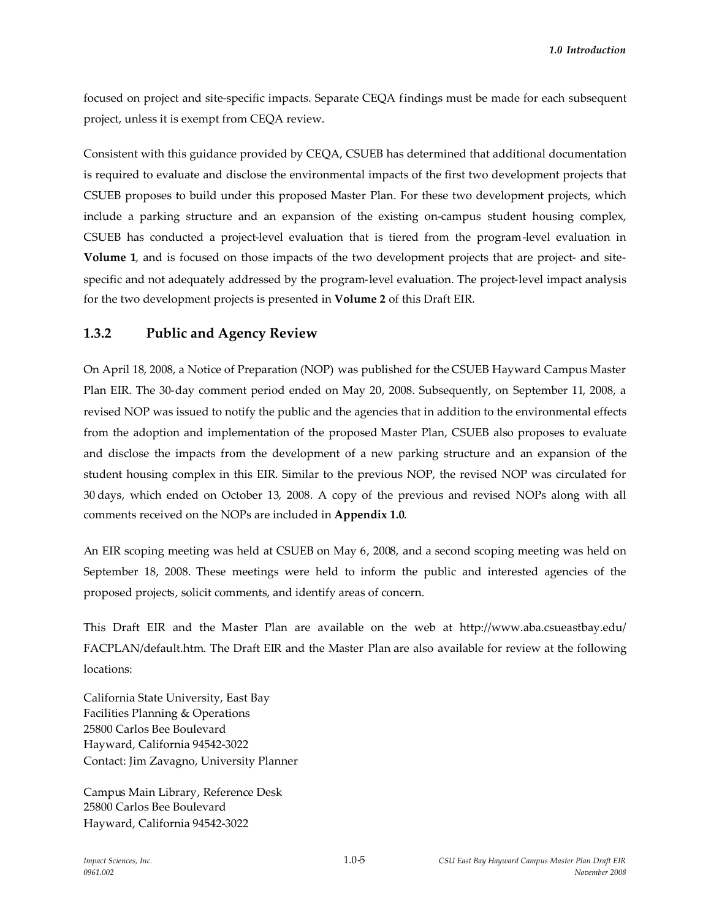focused on project and site-specific impacts. Separate CEQA findings must be made for each subsequent project, unless it is exempt from CEQA review.

Consistent with this guidance provided by CEQA, CSUEB has determined that additional documentation is required to evaluate and disclose the environmental impacts of the first two development projects that CSUEB proposes to build under this proposed Master Plan. For these two development projects, which include a parking structure and an expansion of the existing on-campus student housing complex, CSUEB has conducted a project-level evaluation that is tiered from the program-level evaluation in **Volume 1**, and is focused on those impacts of the two development projects that are project- and sitespecific and not adequately addressed by the program-level evaluation. The project-level impact analysis for the two development projects is presented in **Volume 2** of this Draft EIR.

#### **1.3.2 Public and Agency Review**

On April 18, 2008, a Notice of Preparation (NOP) was published for the CSUEB Hayward Campus Master Plan EIR. The 30-day comment period ended on May 20, 2008. Subsequently, on September 11, 2008, a revised NOP was issued to notify the public and the agencies that in addition to the environmental effects from the adoption and implementation of the proposed Master Plan, CSUEB also proposes to evaluate and disclose the impacts from the development of a new parking structure and an expansion of the student housing complex in this EIR. Similar to the previous NOP, the revised NOP was circulated for 30 days, which ended on October 13, 2008. A copy of the previous and revised NOPs along with all comments received on the NOPs are included in **Appendix 1.0**.

An EIR scoping meeting was held at CSUEB on May 6, 2008, and a second scoping meeting was held on September 18, 2008. These meetings were held to inform the public and interested agencies of the proposed projects, solicit comments, and identify areas of concern.

This Draft EIR and the Master Plan are available on the web at http://www.aba.csueastbay.edu/ FACPLAN/default.htm. The Draft EIR and the Master Plan are also available for review at the following locations:

California State University, East Bay Facilities Planning & Operations 25800 Carlos Bee Boulevard Hayward, California 94542-3022 Contact: Jim Zavagno, University Planner

Campus Main Library, Reference Desk 25800 Carlos Bee Boulevard Hayward, California 94542-3022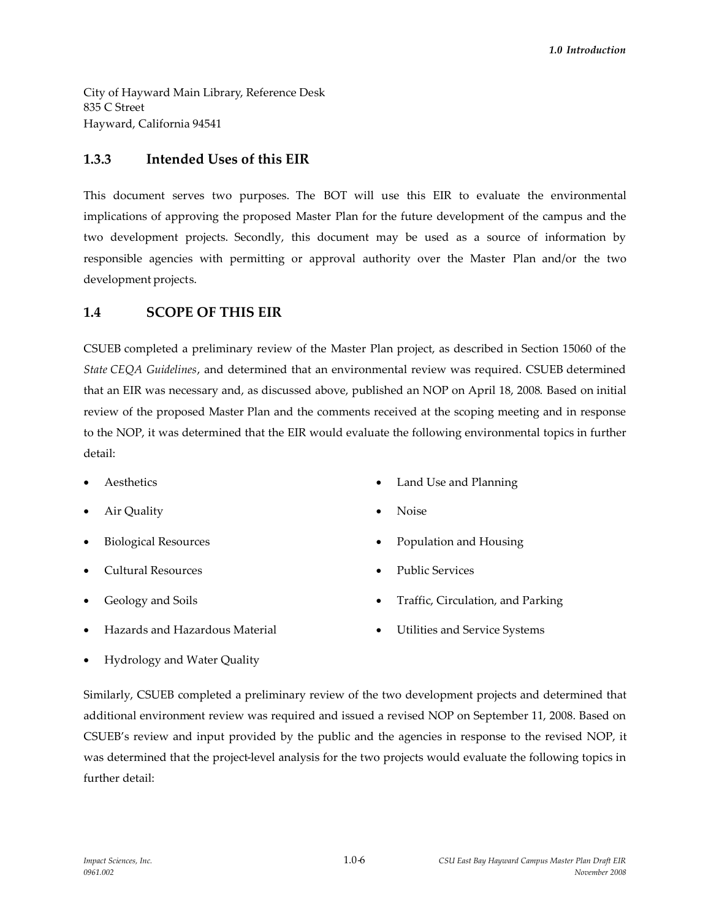City of Hayward Main Library, Reference Desk 835 C Street Hayward, California 94541

# **1.3.3 Intended Uses of this EIR**

This document serves two purposes. The BOT will use this EIR to evaluate the environmental implications of approving the proposed Master Plan for the future development of the campus and the two development projects. Secondly, this document may be used as a source of information by responsible agencies with permitting or approval authority over the Master Plan and/or the two development projects.

# **1.4 SCOPE OF THIS EIR**

CSUEB completed a preliminary review of the Master Plan project, as described in Section 15060 of the *State CEQA Guidelines*, and determined that an environmental review was required. CSUEB determined that an EIR was necessary and, as discussed above, published an NOP on April 18, 2008. Based on initial review of the proposed Master Plan and the comments received at the scoping meeting and in response to the NOP, it was determined that the EIR would evaluate the following environmental topics in further detail:

- Aesthetics
- Air Quality
- Biological Resources
- Cultural Resources
- Geology and Soils
- Hazards and Hazardous Material
- Land Use and Planning
- Noise
- Population and Housing
- Public Services
- Traffic, Circulation, and Parking
- Utilities and Service Systems

Hydrology and Water Quality

Similarly, CSUEB completed a preliminary review of the two development projects and determined that additional environment review was required and issued a revised NOP on September 11, 2008. Based on CSUEB's review and input provided by the public and the agencies in response to the revised NOP, it was determined that the project-level analysis for the two projects would evaluate the following topics in further detail: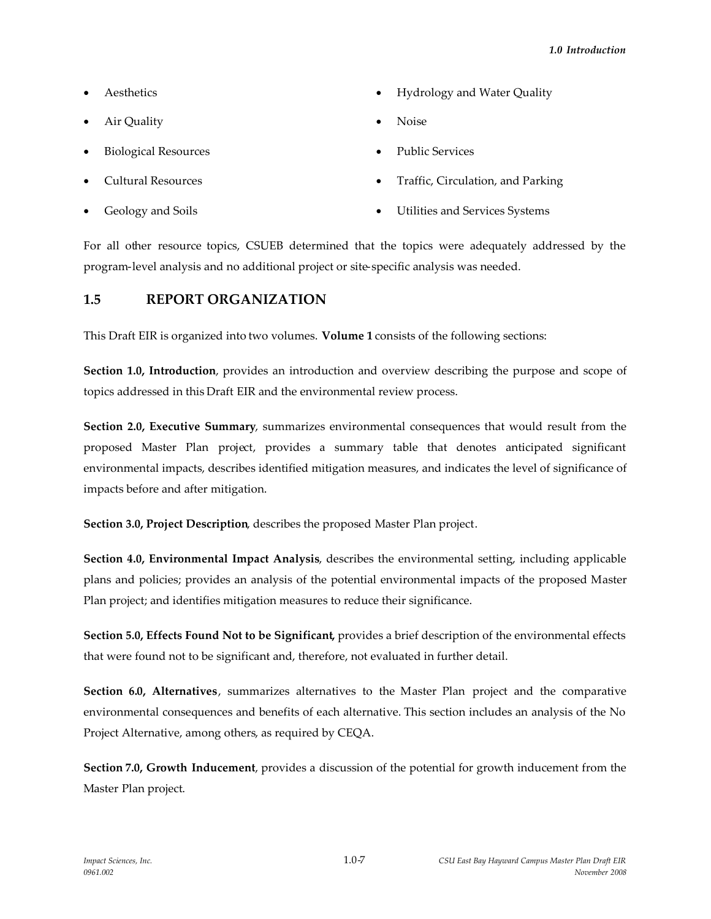- Aesthetics
- Air Quality
- Biological Resources
- Cultural Resources
- Geology and Soils
- Hydrology and Water Quality
- Noise
- Public Services
- Traffic, Circulation, and Parking
- Utilities and Services Systems

For all other resource topics, CSUEB determined that the topics were adequately addressed by the program-level analysis and no additional project or site-specific analysis was needed.

# **1.5 REPORT ORGANIZATION**

This Draft EIR is organized into two volumes. **Volume 1** consists of the following sections:

**Section 1.0, Introduction**, provides an introduction and overview describing the purpose and scope of topics addressed in this Draft EIR and the environmental review process.

**Section 2.0, Executive Summary**, summarizes environmental consequences that would result from the proposed Master Plan project, provides a summary table that denotes anticipated significant environmental impacts, describes identified mitigation measures, and indicates the level of significance of impacts before and after mitigation.

**Section 3.0, Project Description**, describes the proposed Master Plan project.

**Section 4.0, Environmental Impact Analysis**, describes the environmental setting, including applicable plans and policies; provides an analysis of the potential environmental impacts of the proposed Master Plan project; and identifies mitigation measures to reduce their significance.

**Section 5.0, Effects Found Not to be Significant,** provides a brief description of the environmental effects that were found not to be significant and, therefore, not evaluated in further detail.

**Section 6.0, Alternatives**, summarizes alternatives to the Master Plan project and the comparative environmental consequences and benefits of each alternative. This section includes an analysis of the No Project Alternative, among others, as required by CEQA.

**Section 7.0, Growth Inducement**, provides a discussion of the potential for growth inducement from the Master Plan project.